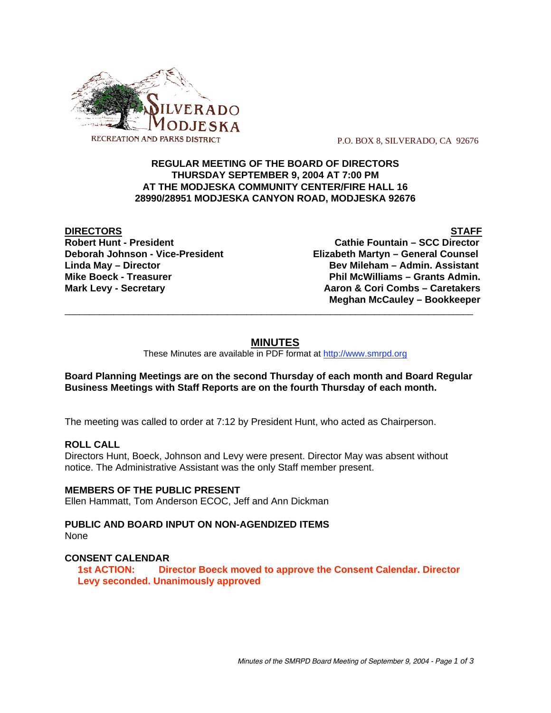

P.O. BOX 8, SILVERADO, CA 92676

## **REGULAR MEETING OF THE BOARD OF DIRECTORS THURSDAY SEPTEMBER 9, 2004 AT 7:00 PM AT THE MODJESKA COMMUNITY CENTER/FIRE HALL 16 28990/28951 MODJESKA CANYON ROAD, MODJESKA 92676**

**DIRECTORS** STAFF

**Robert Hunt - President Cathie Fountain – SCC Director Deborah Johnson - Vice-President Elizabeth Martyn – General Counsel Linda May – Director Bev Mileham – Admin. Assistant Mike Boeck - Treasurer Phil McWilliams – Grants Admin. Mark Levy - Secretary Combs – Caretakers** Aaron & Cori Combs – Caretakers  **Meghan McCauley – Bookkeeper**

# **MINUTES**

\_\_\_\_\_\_\_\_\_\_\_\_\_\_\_\_\_\_\_\_\_\_\_\_\_\_\_\_\_\_\_\_\_\_\_\_\_\_\_\_\_\_\_\_\_\_\_\_\_\_\_\_\_\_\_\_\_\_\_\_\_\_\_\_\_\_\_\_\_\_\_\_\_\_\_\_\_\_\_\_\_\_\_

These Minutes are available in PDF format at http://www.smrpd.org

## **Board Planning Meetings are on the second Thursday of each month and Board Regular Business Meetings with Staff Reports are on the fourth Thursday of each month.**

The meeting was called to order at 7:12 by President Hunt, who acted as Chairperson.

## **ROLL CALL**

Directors Hunt, Boeck, Johnson and Levy were present. Director May was absent without notice. The Administrative Assistant was the only Staff member present.

# **MEMBERS OF THE PUBLIC PRESENT**

Ellen Hammatt, Tom Anderson ECOC, Jeff and Ann Dickman

**PUBLIC AND BOARD INPUT ON NON-AGENDIZED ITEMS** None

## **CONSENT CALENDAR**

**1st ACTION: Director Boeck moved to approve the Consent Calendar. Director Levy seconded. Unanimously approved**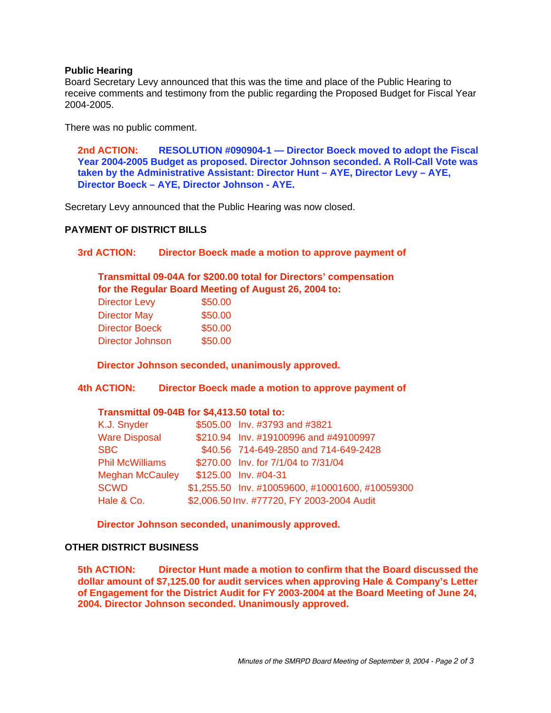## **Public Hearing**

Board Secretary Levy announced that this was the time and place of the Public Hearing to receive comments and testimony from the public regarding the Proposed Budget for Fiscal Year 2004-2005.

There was no public comment.

**2nd ACTION: RESOLUTION #090904-1 — Director Boeck moved to adopt the Fiscal Year 2004-2005 Budget as proposed. Director Johnson seconded. A Roll-Call Vote was taken by the Administrative Assistant: Director Hunt – AYE, Director Levy – AYE, Director Boeck – AYE, Director Johnson - AYE.**

Secretary Levy announced that the Public Hearing was now closed.

## **PAYMENT OF DISTRICT BILLS**

#### **3rd ACTION: Director Boeck made a motion to approve payment of**

## **Transmittal 09-04A for \$200.00 total for Directors' compensation for the Regular Board Meeting of August 26, 2004 to:**

| \$50.00 |
|---------|
| \$50.00 |
| \$50.00 |
| \$50.00 |
|         |

**Director Johnson seconded, unanimously approved.**

**4th ACTION: Director Boeck made a motion to approve payment of**

#### **Transmittal 09-04B for \$4,413.50 total to:**

| K.J. Snyder            | \$505.00 Inv. #3793 and #3821                   |
|------------------------|-------------------------------------------------|
| <b>Ware Disposal</b>   | \$210.94 Inv. #19100996 and #49100997           |
| <b>SBC</b>             | \$40.56 714-649-2850 and 714-649-2428           |
| <b>Phil McWilliams</b> | \$270.00 Inv. for 7/1/04 to 7/31/04             |
| <b>Meghan McCauley</b> | \$125.00 Inv. #04-31                            |
| <b>SCWD</b>            | \$1,255.50 Inv. #10059600, #10001600, #10059300 |
| Hale & Co.             | \$2,006.50 Inv. #77720, FY 2003-2004 Audit      |

**Director Johnson seconded, unanimously approved.**

#### **OTHER DISTRICT BUSINESS**

**5th ACTION: Director Hunt made a motion to confirm that the Board discussed the dollar amount of \$7,125.00 for audit services when approving Hale & Company's Letter of Engagement for the District Audit for FY 2003-2004 at the Board Meeting of June 24, 2004. Director Johnson seconded. Unanimously approved.**